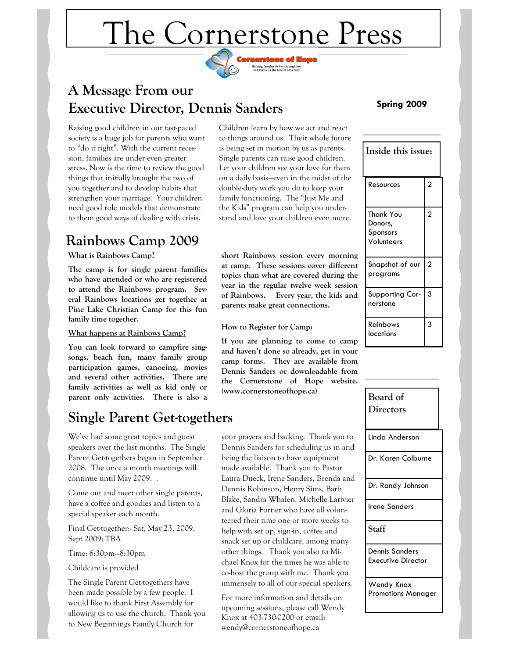# The Cornerstone Press

Helping families to live through loss<br>and thrive in the face of adversity



Raising good children in our fast-paced society is a huge job for parents who want to "do it right". With the current recession, families are under even greater stress. Now is the time to review the good things that initially brought the two of you together and to develop habits that strengthen your marriage. Your children need good role models that demonstrate to them good ways of dealing with crisis.

### **Rainbows Camp 2009**

### **What is Rainbows Camp?**

**The camp is for single parent families who have attended or who are registered to attend the Rainbows program. Several Rainbows locations get together at Pine Lake Christian Camp for this fun family time together.** 

#### **What happens at Rainbows Camp?**

**You can look forward to campfire singsongs, beach fun, many family group participation games, canoeing, movies and several other activities. There are family activities as well as kid only or parent only activities. There is also a** 

### **Single Parent Get-togethers**

We've had some great topics and guest speakers over the last months. The Single Parent Get-togethers began in September 2008. The once a month meetings will continue until May 2009. .

Come out and meet other single parents, have a coffee and goodies and listen to a special speaker each month.

Final Get-together:- Sat, May 23, 2009, Sept 2009: TBA

Time: 6:30pm—8:30pm

Childcare is provided

The Single Parent Get-togethers have been made possible by a few people. I would like to thank First Assembly for allowing us to use the church. Thank you to New Beginnings Family Church for

Children learn by how we act and react to things around us. Their whole future is being set in motion by us as parents. Single parents can raise good children. Let your children see your love for them on a daily basis—even in the midst of the double-duty work you do to keep your family functioning. The "Just Me and the Kids" program can help you understand and love your children even more.

**short Rainbows session every morning at camp. These sessions cover different topics than what are covered during the year in the regular twelve week session of Rainbows. Every year, the kids and parents make great connections.** 

### **How to Register for Camp:**

**If you are planning to come to camp and haven't done so already, get in your camp forms. They are available from Dennis Sanders or downloadable from the Cornerstone of Hope website. (www.cornerstoneofhope.ca)** 

your prayers and backing. Thank you to Dennis Sanders for scheduling us in and being the liaison to have equipment made available. Thank you to Pastor Laura Dueck, Irene Sanders, Brenda and Dennis Robinson, Henry Sims, Barb Blake, Sandra Whalen, Michelle Larivier and Gloria Fortier who have all volunteered their time one or more weeks to help with set up, sign-in, coffee and snack set up or childcare, among many other things. Thank you also to Michael Knox for the times he was able to co-host the group with me. Thank you immensely to all of our special speakers.

For more information and details on upcoming sessions, please call Wendy Knox at 403-730-0200 or email: wendy@cornerstoneofhope.ca

### **Spring 2009**

| Inside this issue: |                                                |                |
|--------------------|------------------------------------------------|----------------|
|                    | Resources                                      | $\overline{c}$ |
|                    | Thank You<br>Donors,<br>Sponsors<br>Volunteers | $\overline{2}$ |
|                    | Snapshot of our<br>programs                    | $\overline{2}$ |
|                    | Supporting Cor-<br>nerstone                    | 3              |
|                    | Rainbows<br>locations                          | 3              |

| Board of<br>Directors                   |
|-----------------------------------------|
| Linda Anderson                          |
| Dr. Karen Colburne                      |
| Dr. Randy Johnson                       |
| <b>Irene Sanders</b>                    |
| Staff                                   |
| Dennis Sanders<br>Executive Director    |
| Wendy Knox<br><b>Promotions Manager</b> |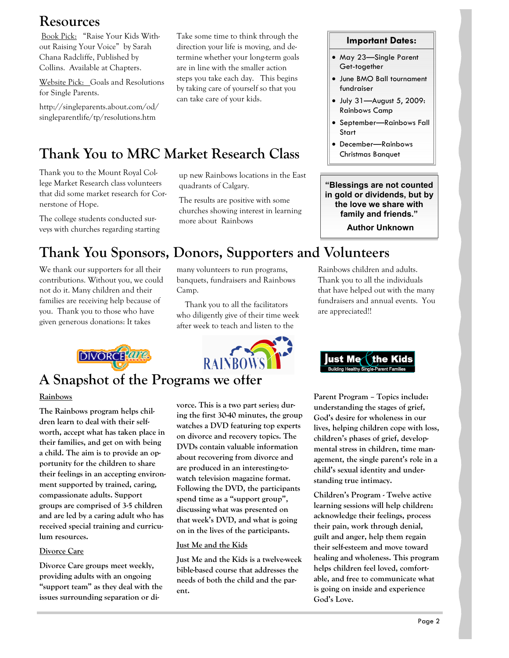### **Resources**

 Book Pick: "Raise Your Kids Without Raising Your Voice" by Sarah Chana Radcliffe, Published by Collins. Available at Chapters.

Website Pick: Goals and Resolutions for Single Parents.

http://singleparents.about.com/od/ singleparentlife/tp/resolutions.htm

Take some time to think through the direction your life is moving, and determine whether your long-term goals are in line with the smaller action steps you take each day. This begins by taking care of yourself so that you can take care of your kids.

## **Thank You to MRC Market Research Class**

Thank you to the Mount Royal College Market Research class volunteers that did some market research for Cornerstone of Hope.

The college students conducted surveys with churches regarding starting

up new Rainbows locations in the East quadrants of Calgary.

The results are positive with some churches showing interest in learning more about Rainbows

### **Important Dates:**

- May 23—Single Parent Get-together
- June BMO Ball tournament fundraiser
- July 31—August 5, 2009: Rainbows Camp
- September—Rainbows Fall Start
- December—Rainbows Christmas Banquet

**"Blessings are not counted in gold or dividends, but by the love we share with family and friends."** 

 **Author Unknown**

### **Thank You Sponsors, Donors, Supporters and Volunteers**

We thank our supporters for all their contributions. Without you, we could not do it. Many children and their families are receiving help because of you. Thank you to those who have given generous donations: It takes

**DIVORCHATA** 

many volunteers to run programs, banquets, fundraisers and Rainbows Camp.

 Thank you to all the facilitators who diligently give of their time week after week to teach and listen to the



# **A Snapshot of the Programs we offer**

### **Rainbows**

**The Rainbows program helps children learn to deal with their selfworth, accept what has taken place in their families, and get on with being a child. The aim is to provide an opportunity for the children to share their feelings in an accepting environment supported by trained, caring, compassionate adults. Support groups are comprised of 3-5 children and are led by a caring adult who has received special training and curriculum resources.** 

#### **Divorce Care**

**Divorce Care groups meet weekly, providing adults with an ongoing "support team" as they deal with the issues surrounding separation or di-** **vorce. This is a two part series; during the first 30-40 minutes, the group watches a DVD featuring top experts on divorce and recovery topics. The DVDs contain valuable information about recovering from divorce and are produced in an interesting-towatch television magazine format. Following the DVD, the participants spend time as a "support group", discussing what was presented on that week's DVD, and what is going on in the lives of the participants.** 

**Just Me and the Kids**

**Just Me and the Kids is a twelve-week bible-based course that addresses the needs of both the child and the parent.** 

Rainbows children and adults. Thank you to all the individuals that have helped out with the many fundraisers and annual events. You are appreciated!!



**Parent Program – Topics include: understanding the stages of grief, God's desire for wholeness in our lives, helping children cope with loss, children's phases of grief, developmental stress in children, time management, the single parent's role in a child's sexual identity and understanding true intimacy.** 

**Children's Program - Twelve active learning sessions will help children: acknowledge their feelings, process their pain, work through denial, guilt and anger, help them regain their self-esteem and move toward healing and wholeness. This program helps children feel loved, comfortable, and free to communicate what is going on inside and experience God's Love.**